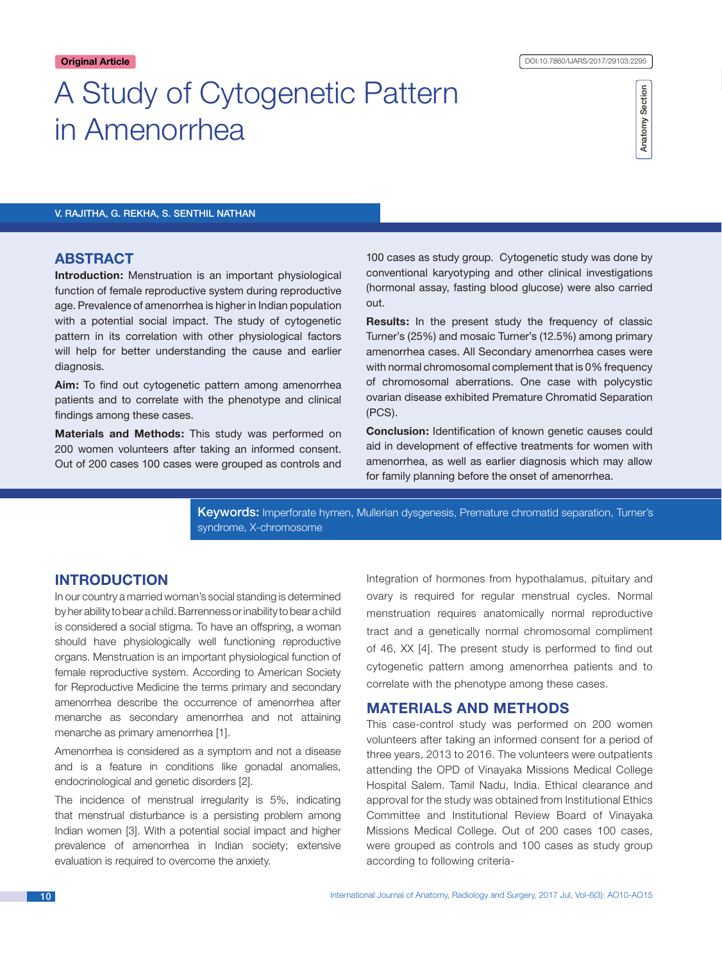# A Study of Cytogenetic Pattern in Amenorrhea

Anatomy Section Anatomy Section

# V. Rajitha, G. Rekha, S. Senthil Nathan

# **ABSTRACT**

**Introduction:** Menstruation is an important physiological function of female reproductive system during reproductive age. Prevalence of amenorrhea is higher in Indian population with a potential social impact. The study of cytogenetic pattern in its correlation with other physiological factors will help for better understanding the cause and earlier diagnosis.

**Aim:** To find out cytogenetic pattern among amenorrhea patients and to correlate with the phenotype and clinical findings among these cases.

**Materials and Methods:** This study was performed on 200 women volunteers after taking an informed consent. Out of 200 cases 100 cases were grouped as controls and 100 cases as study group. Cytogenetic study was done by conventional karyotyping and other clinical investigations (hormonal assay, fasting blood glucose) were also carried out.

**Results:** In the present study the frequency of classic Turner's (25%) and mosaic Turner's (12.5%) among primary amenorrhea cases. All Secondary amenorrhea cases were with normal chromosomal complement that is 0% frequency of chromosomal aberrations. One case with polycystic ovarian disease exhibited Premature Chromatid Separation (PCS).

**Conclusion:** Identification of known genetic causes could aid in development of effective treatments for women with amenorrhea, as well as earlier diagnosis which may allow for family planning before the onset of amenorrhea.

Keywords: Imperforate hymen, Mullerian dysgenesis, Premature chromatid separation, Turner's syndrome, X-chromosome

# **INTRODUCTION**

In our country a married woman's social standing is determined by her ability to bear a child. Barrenness or inability to bear a child is considered a social stigma. To have an offspring, a woman should have physiologically well functioning reproductive organs. Menstruation is an important physiological function of female reproductive system. According to American Society for Reproductive Medicine the terms primary and secondary amenorrhea describe the occurrence of amenorrhea after menarche as secondary amenorrhea and not attaining menarche as primary amenorrhea [1].

Amenorrhea is considered as a symptom and not a disease and is a feature in conditions like gonadal anomalies, endocrinological and genetic disorders [2].

The incidence of menstrual irregularity is 5%, indicating that menstrual disturbance is a persisting problem among Indian women [3]. With a potential social impact and higher prevalence of amenorrhea in Indian society; extensive evaluation is required to overcome the anxiety.

Integration of hormones from hypothalamus, pituitary and ovary is required for regular menstrual cycles. Normal menstruation requires anatomically normal reproductive tract and a genetically normal chromosomal compliment of 46, XX [4]. The present study is performed to find out cytogenetic pattern among amenorrhea patients and to correlate with the phenotype among these cases.

# **Materials and methods**

This case-control study was performed on 200 women volunteers after taking an informed consent for a period of three years, 2013 to 2016. The volunteers were outpatients attending the OPD of Vinayaka Missions Medical College Hospital Salem. Tamil Nadu, India. Ethical clearance and approval for the study was obtained from Institutional Ethics Committee and Institutional Review Board of Vinayaka Missions Medical College. Out of 200 cases 100 cases, were grouped as controls and 100 cases as study group according to following criteria-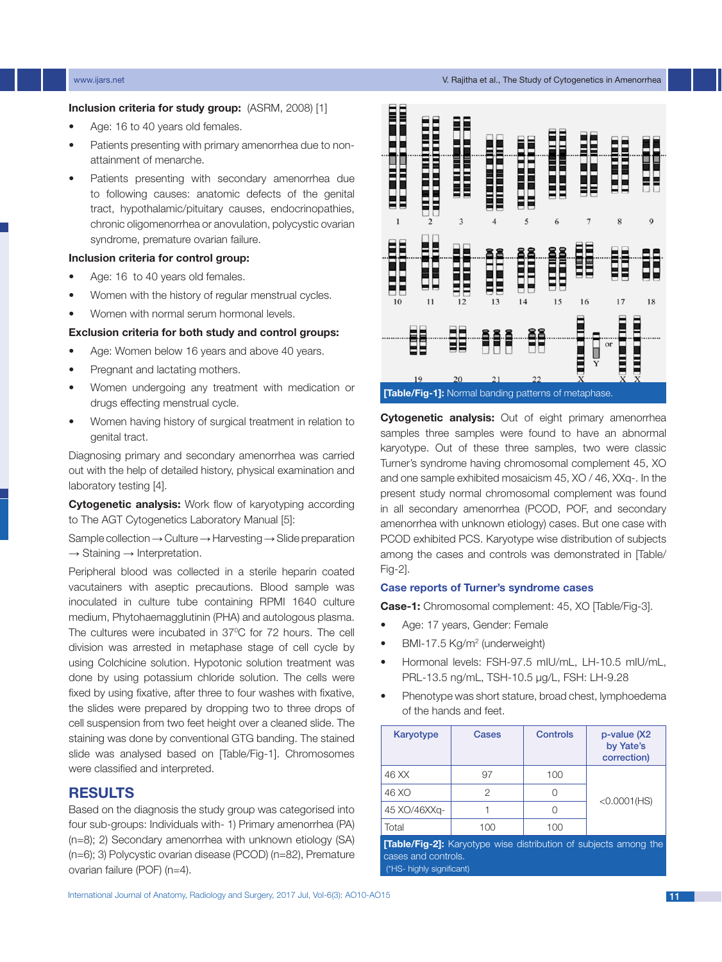# **Inclusion criteria for study group:** (ASRM, 2008) [1]

- Age: 16 to 40 years old females.
- Patients presenting with primary amenorrhea due to nonattainment of menarche.
- Patients presenting with secondary amenorrhea due to following causes: anatomic defects of the genital tract, hypothalamic/pituitary causes, endocrinopathies, chronic oligomenorrhea or anovulation, polycystic ovarian syndrome, premature ovarian failure.

# **Inclusion criteria for control group:**

- Age: 16 to 40 years old females.
- Women with the history of regular menstrual cycles.
- Women with normal serum hormonal levels.

### **Exclusion criteria for both study and control groups:**

- Age: Women below 16 years and above 40 years.
- Pregnant and lactating mothers.
- Women undergoing any treatment with medication or drugs effecting menstrual cycle.
- Women having history of surgical treatment in relation to genital tract.

Diagnosing primary and secondary amenorrhea was carried out with the help of detailed history, physical examination and laboratory testing [4].

**Cytogenetic analysis:** Work flow of karyotyping according to The AGT Cytogenetics Laboratory Manual [5]:

Sample collection → Culture → Harvesting → Slide preparation  $\rightarrow$  Staining  $\rightarrow$  Interpretation.

Peripheral blood was collected in a sterile heparin coated vacutainers with aseptic precautions. Blood sample was inoculated in culture tube containing RPMI 1640 culture medium, Phytohaemagglutinin (PHA) and autologous plasma. The cultures were incubated in 37°C for 72 hours. The cell division was arrested in metaphase stage of cell cycle by using Colchicine solution. Hypotonic solution treatment was done by using potassium chloride solution. The cells were fixed by using fixative, after three to four washes with fixative, the slides were prepared by dropping two to three drops of cell suspension from two feet height over a cleaned slide. The staining was done by conventional GTG banding. The stained slide was analysed based on [Table/Fig-1]. Chromosomes were classified and interpreted.

# **Results**

Based on the diagnosis the study group was categorised into four sub-groups: Individuals with- 1) Primary amenorrhea (PA) (n=8); 2) Secondary amenorrhea with unknown etiology (SA) (n=6); 3) Polycystic ovarian disease (PCOD) (n=82), Premature ovarian failure (POF) (n=4).



**Cytogenetic analysis:** Out of eight primary amenorrhea samples three samples were found to have an abnormal karyotype. Out of these three samples, two were classic Turner's syndrome having chromosomal complement 45, XO and one sample exhibited mosaicism 45, XO / 46, XXq-. In the present study normal chromosomal complement was found in all secondary amenorrhea (PCOD, POF, and secondary amenorrhea with unknown etiology) cases. But one case with PCOD exhibited PCS. Karyotype wise distribution of subjects among the cases and controls was demonstrated in [Table/ Fig-2].

### **Case reports of Turner's syndrome cases**

**Case-1:** Chromosomal complement: 45, XO [Table/Fig-3].

- Age: 17 years, Gender: Female
- BMI-17.5 Kg/m<sup>2</sup> (underweight)
- Hormonal levels: FSH-97.5 mIU/mL, LH-10.5 mIU/mL, PRL-13.5 ng/mL, TSH-10.5 µg/L, FSH: LH-9.28
- Phenotype was short stature, broad chest, lymphoedema of the hands and feet.

| Karyotype                                                                                     | Cases | <b>Controls</b> | p-value (X2<br>by Yate's<br>correction) |  |  |
|-----------------------------------------------------------------------------------------------|-------|-----------------|-----------------------------------------|--|--|
| 46 XX                                                                                         | 97    | 100             |                                         |  |  |
| 46 XO                                                                                         | 2     |                 | $<0.0001$ (HS)                          |  |  |
| 45 XO/46XXq-                                                                                  |       | ∩               |                                         |  |  |
| Total                                                                                         | 100   | 100             |                                         |  |  |
| <b>Table/Fig-21:</b> Karyotype wise distribution of subjects among the<br>cases and controls. |       |                 |                                         |  |  |

(\*HS- highly significant)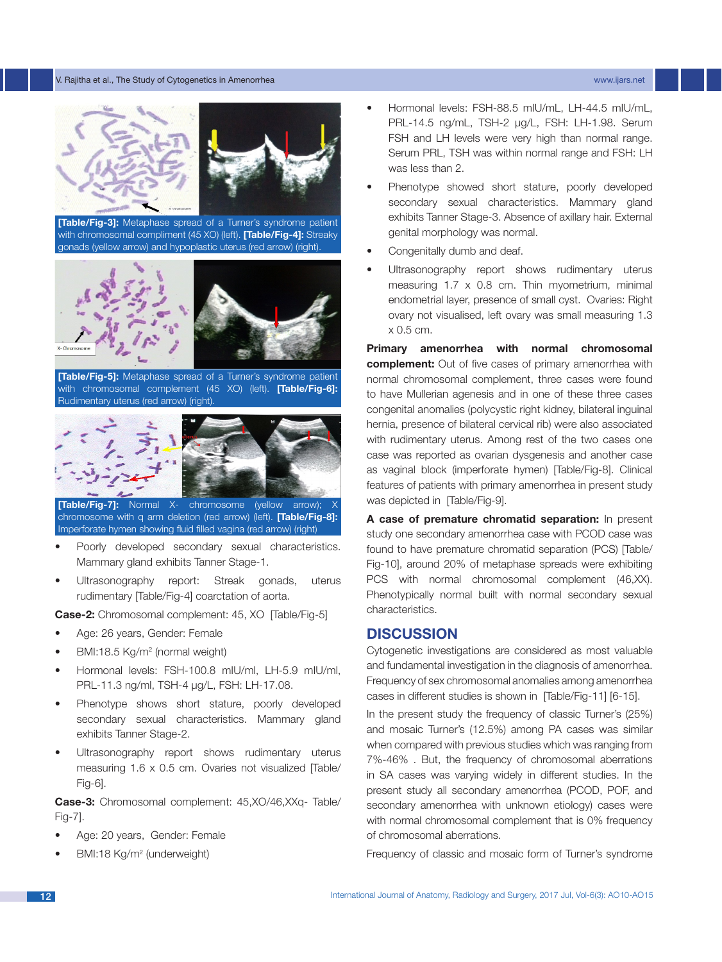#### V. Rajitha et al., The Study of Cytogenetics in Amenorrhea www.ijars.net



**[Table/Fig-3]:** Metaphase spread of a Turner's syndrome patient with chromosomal compliment (45 XO) (left). **[Table/Fig-4]:** Streaky gonads (yellow arrow) and hypoplastic uterus (red arrow) (right).



**[Table/Fig-5]:** Metaphase spread of a Turner's syndrome patient with chromosomal complement (45 XO) (left). **[Table/Fig-6]:** Rudimentary uterus (red arrow) (right).



**[Table/Fig-7]:** Normal X- chromosome (yellow arrow); chromosome with q arm deletion (red arrow) (left). **[Table/Fig-8]:** Imperforate hymen showing fluid filled vagina (red arrow) (right)

- Poorly developed secondary sexual characteristics. Mammary gland exhibits Tanner Stage-1.
- Ultrasonography report: Streak gonads, uterus rudimentary [Table/Fig-4] coarctation of aorta.

**Case-2:** Chromosomal complement: 45, XO [Table/Fig-5]

- Age: 26 years, Gender: Female
- BMI:18.5 Kg/m<sup>2</sup> (normal weight)
- Hormonal levels: FSH-100.8 mIU/ml, LH-5.9 mIU/ml, PRL-11.3 ng/ml, TSH-4 µg/L, FSH: LH-17.08.
- Phenotype shows short stature, poorly developed secondary sexual characteristics. Mammary gland exhibits Tanner Stage-2.
- Ultrasonography report shows rudimentary uterus measuring 1.6 x 0.5 cm. Ovaries not visualized [Table/ Fig-6].

**Case-3:** Chromosomal complement: 45,XO/46,XXq- Table/ Fig-7].

- Age: 20 years, Gender: Female
- BMI:18 Kg/m<sup>2</sup> (underweight)
- Hormonal levels: FSH-88.5 mIU/mL, LH-44.5 mIU/mL, PRL-14.5 ng/mL, TSH-2 µg/L, FSH: LH-1.98. Serum FSH and LH levels were very high than normal range. Serum PRL, TSH was within normal range and FSH: LH was less than 2.
- Phenotype showed short stature, poorly developed secondary sexual characteristics. Mammary gland exhibits Tanner Stage-3. Absence of axillary hair. External genital morphology was normal.
- Congenitally dumb and deaf.
- Ultrasonography report shows rudimentary uterus measuring 1.7 x 0.8 cm. Thin myometrium, minimal endometrial layer, presence of small cyst. Ovaries: Right ovary not visualised, left ovary was small measuring 1.3 x 0.5 cm.

**Primary amenorrhea with normal chromosomal complement:** Out of five cases of primary amenorrhea with normal chromosomal complement, three cases were found to have Mullerian agenesis and in one of these three cases congenital anomalies (polycystic right kidney, bilateral inguinal hernia, presence of bilateral cervical rib) were also associated with rudimentary uterus. Among rest of the two cases one case was reported as ovarian dysgenesis and another case as vaginal block (imperforate hymen) [Table/Fig-8]. Clinical features of patients with primary amenorrhea in present study was depicted in [Table/Fig-9].

**A case of premature chromatid separation:** In present study one secondary amenorrhea case with PCOD case was found to have premature chromatid separation (PCS) [Table/ Fig-10], around 20% of metaphase spreads were exhibiting PCS with normal chromosomal complement (46,XX). Phenotypically normal built with normal secondary sexual characteristics.

# **Discussion**

Cytogenetic investigations are considered as most valuable and fundamental investigation in the diagnosis of amenorrhea. Frequency of sex chromosomal anomalies among amenorrhea cases in different studies is shown in [Table/Fig-11] [6-15].

In the present study the frequency of classic Turner's (25%) and mosaic Turner's (12.5%) among PA cases was similar when compared with previous studies which was ranging from 7%-46% . But, the frequency of chromosomal aberrations in SA cases was varying widely in different studies. In the present study all secondary amenorrhea (PCOD, POF, and secondary amenorrhea with unknown etiology) cases were with normal chromosomal complement that is 0% frequency of chromosomal aberrations.

Frequency of classic and mosaic form of Turner's syndrome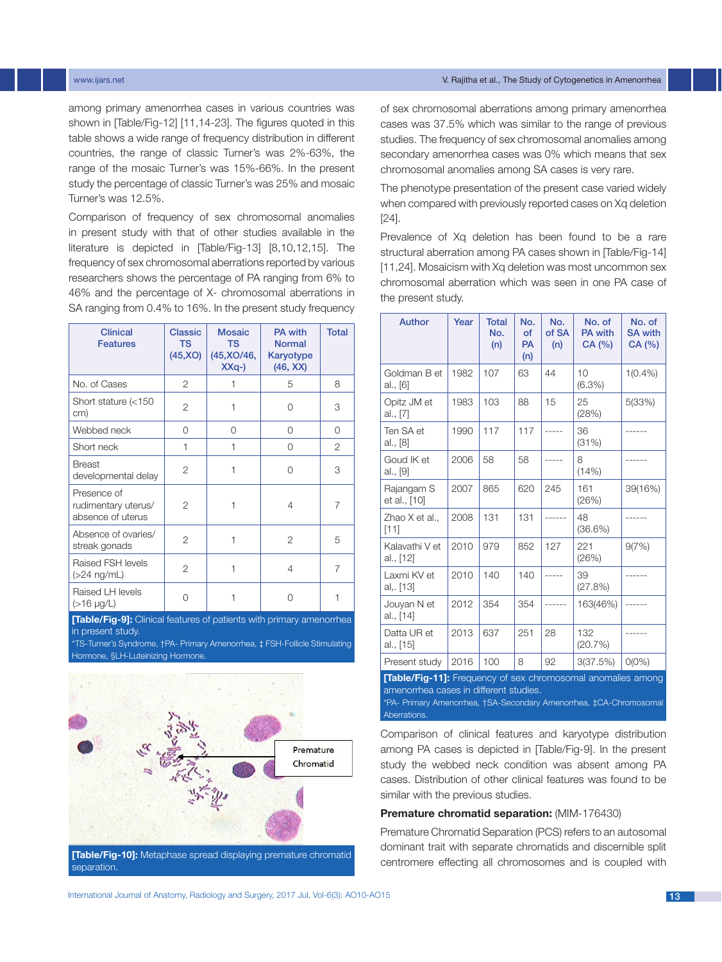among primary amenorrhea cases in various countries was shown in [Table/Fig-12] [11,14-23]. The figures quoted in this table shows a wide range of frequency distribution in different countries, the range of classic Turner's was 2%-63%, the range of the mosaic Turner's was 15%-66%. In the present study the percentage of classic Turner's was 25% and mosaic Turner's was 12.5%.

Comparison of frequency of sex chromosomal anomalies in present study with that of other studies available in the literature is depicted in [Table/Fig-13] [8,10,12,15]. The frequency of sex chromosomal aberrations reported by various researchers shows the percentage of PA ranging from 6% to 46% and the percentage of X- chromosomal aberrations in SA ranging from 0.4% to 16%. In the present study frequency

| <b>Clinical</b><br><b>Features</b>                      | Classic<br><b>TS</b><br>(45, XO) | <b>Mosaic</b><br><b>TS</b><br>(45, XO/46,<br>$XXq-$ | <b>PA with</b><br><b>Normal</b><br>Karyotype<br>(46, XX) | <b>Total</b> |
|---------------------------------------------------------|----------------------------------|-----------------------------------------------------|----------------------------------------------------------|--------------|
| No. of Cases                                            | 2                                | 1                                                   | 5                                                        | 8            |
| Short stature (<150<br>cm)                              | 2                                | 1                                                   | 0                                                        | 3            |
| Webbed neck                                             | 0                                | 0                                                   | 0                                                        | 0            |
| Short neck                                              | 1                                | 1                                                   | 0                                                        | 2            |
| <b>Breast</b><br>developmental delay                    | 2                                | 1                                                   | $\Omega$                                                 | 3            |
| Presence of<br>rudimentary uterus/<br>absence of uterus | 2                                | 1                                                   | 4                                                        | 7            |
| Absence of ovaries/<br>streak gonads                    | 2                                | 1                                                   | 2                                                        | 5            |
| Raised FSH levels<br>$(>24$ ng/mL)                      | 2                                | 1                                                   | 4                                                        | 7            |
| Raised LH levels<br>$(>16 \mu g/L)$                     | 0                                | 1                                                   | Ω                                                        | 1            |

**[Table/Fig-9]:** Clinical features of patients with primary amenorrhea in present study.

\*TS-Turner's Syndrome, †PA- Primary Amenorrhea, ‡ FSH-Follicle Stimulating Hormone, §LH-Luteinizing Hormone.



**[Table/Fig-10]:** Metaphase spread displaying premature chromatid separation.

of sex chromosomal aberrations among primary amenorrhea cases was 37.5% which was similar to the range of previous studies. The frequency of sex chromosomal anomalies among secondary amenorrhea cases was 0% which means that sex chromosomal anomalies among SA cases is very rare.

The phenotype presentation of the present case varied widely when compared with previously reported cases on Xq deletion [24].

Prevalence of Xq deletion has been found to be a rare structural aberration among PA cases shown in [Table/Fig-14] [11,24]. Mosaicism with Xq deletion was most uncommon sex chromosomal aberration which was seen in one PA case of the present study.

| <b>Author</b>               | Year | <b>Total</b><br>No.<br>(n) | No.<br>of<br><b>PA</b><br>(n) | No.<br>of SA<br>(n) | No. of<br><b>PA</b> with<br>CA (%) | No. of<br><b>SA with</b><br>CA (%) |
|-----------------------------|------|----------------------------|-------------------------------|---------------------|------------------------------------|------------------------------------|
| Goldman B et<br>al., [6]    | 1982 | 107                        | 63                            | 44                  | 10<br>(6.3%)                       | $1(0.4\%)$                         |
| Opitz JM et<br>al., [7]     | 1983 | 103                        | 88                            | 15                  | 25<br>(28%)                        | 5(33%)                             |
| Ten SA et<br>al., [8]       | 1990 | 117                        | 117                           | $- - -$             | 36<br>(31%)                        |                                    |
| Goud IK et<br>al., [9]      | 2006 | 58                         | 58                            |                     | 8<br>(14% )                        |                                    |
| Rajangam S<br>et al., [10]  | 2007 | 865                        | 620                           | 245                 | 161<br>(26%)                       | 39(16%)                            |
| Zhao X et al.,<br>[11]      | 2008 | 131                        | 131                           |                     | 48<br>(36.6%)                      |                                    |
| Kalavathi V et<br>al., [12] | 2010 | 979                        | 852                           | 127                 | 221<br>(26%)                       | 9(7%)                              |
| Laxmi KV et<br>al,. [13]    | 2010 | 140                        | 140                           |                     | 39<br>(27.8%)                      |                                    |
| Jouyan N et<br>al., [14]    | 2012 | 354                        | 354                           |                     | 163(46%)                           |                                    |
| Datta UR et<br>al., [15]    | 2013 | 637                        | 251                           | 28                  | 132<br>(20.7%)                     |                                    |
| Present study               | 2016 | 100                        | 8                             | 92                  | 3(37.5%)                           | $O(0\%)$                           |

**[Table/Fig-11]:** Frequency of sex chromosomal anomalies among amenorrhea cases in different studies. \*PA- Primary Amenorrhea, †SA-Secondary Amenorrhea, ‡CA-Chromosomal

**Aberrations** 

Comparison of clinical features and karyotype distribution among PA cases is depicted in [Table/Fig-9]. In the present study the webbed neck condition was absent among PA cases. Distribution of other clinical features was found to be similar with the previous studies.

# **Premature chromatid separation:** (MIM-176430)

Premature Chromatid Separation (PCS) refers to an autosomal dominant trait with separate chromatids and discernible split centromere effecting all chromosomes and is coupled with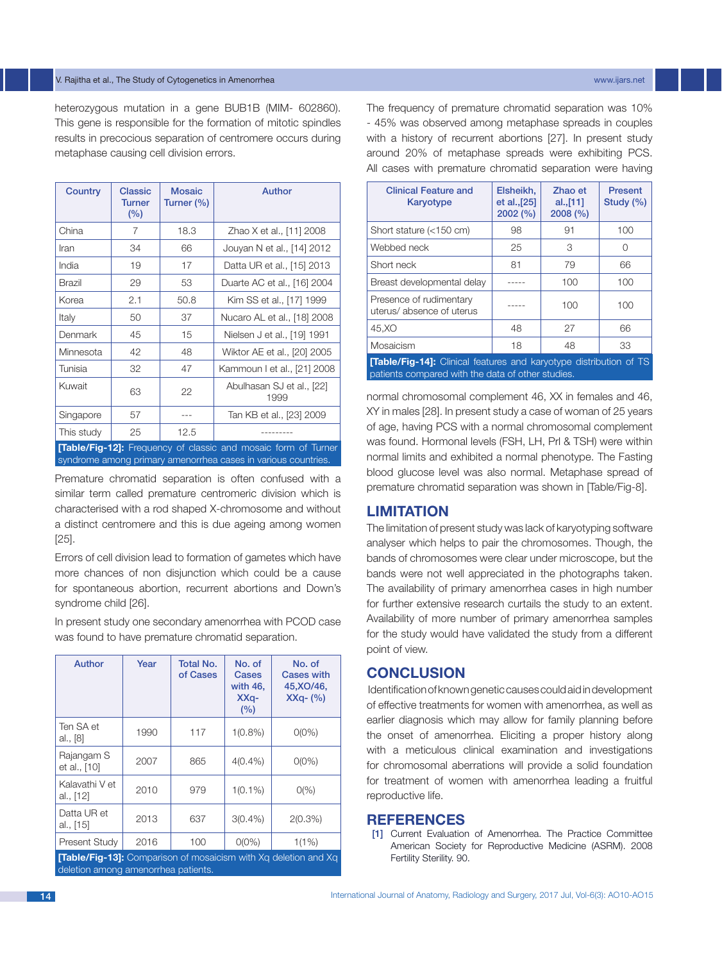### V. Rajitha et al., The Study of Cytogenetics in Amenorrhea www.ijars.net

heterozygous mutation in a gene BUB1B (MIM- 602860). This gene is responsible for the formation of mitotic spindles results in precocious separation of centromere occurs during metaphase causing cell division errors.

| Country                                                               | <b>Classic</b><br><b>Turner</b><br>(%) | <b>Mosaic</b><br>Turner (%) | Author                            |  |
|-----------------------------------------------------------------------|----------------------------------------|-----------------------------|-----------------------------------|--|
| China                                                                 | 7                                      | 18.3                        | Zhao X et al., [11] 2008          |  |
| Iran                                                                  | 34                                     | 66                          | Jouyan N et al., [14] 2012        |  |
| India                                                                 | 19                                     | 17                          | Datta UR et al., [15] 2013        |  |
| Brazil                                                                | 29                                     | 53                          | Duarte AC et al., [16] 2004       |  |
| Korea                                                                 | 2.1                                    | 50.8                        | Kim SS et al., [17] 1999          |  |
| Italy                                                                 | 50                                     | 37                          | Nucaro AL et al., [18] 2008       |  |
| Denmark                                                               | 45                                     | 15                          | Nielsen J et al., [19] 1991       |  |
| Minnesota                                                             | 42                                     | 48                          | Wiktor AE et al., [20] 2005       |  |
| Tunisia                                                               | 32                                     | 47                          | Kammoun I et al., [21] 2008       |  |
| Kuwait                                                                | 63                                     | 22                          | Abulhasan SJ et al., [22]<br>1999 |  |
| Singapore                                                             | 57                                     | ---                         | Tan KB et al., [23] 2009          |  |
| This study                                                            | 25                                     | 12.5                        |                                   |  |
| <b>[Table/Fig-12]:</b> Frequency of classic and mosaic form of Turner |                                        |                             |                                   |  |

syndrome among primary amenorrhea cases in various countries.

Premature chromatid separation is often confused with a similar term called premature centromeric division which is characterised with a rod shaped X-chromosome and without a distinct centromere and this is due ageing among women [25].

Errors of cell division lead to formation of gametes which have more chances of non disjunction which could be a cause for spontaneous abortion, recurrent abortions and Down's syndrome child [26].

In present study one secondary amenorrhea with PCOD case was found to have premature chromatid separation.

| Author                      | Year | <b>Total No.</b><br>of Cases | No. of<br>Cases<br>with 46,<br>XX <sub>q</sub><br>(%) | No. of<br><b>Cases with</b><br>45, XO/46,<br>$XXq - (\% )$                          |
|-----------------------------|------|------------------------------|-------------------------------------------------------|-------------------------------------------------------------------------------------|
| Ten SA et<br>al., [8]       | 1990 | 117                          | $1(0.8\%)$                                            | $O(0\%)$                                                                            |
| Rajangam S<br>et al., [10]  | 2007 | 865                          | $4(0.4\%)$                                            | $O(0\%)$                                                                            |
| Kalavathi V et<br>al., [12] | 2010 | 979                          | $1(0.1\%)$                                            | O(%)                                                                                |
| Datta UR et<br>al., [15]    | 2013 | 637                          | $3(0.4\%)$                                            | $2(0.3\%)$                                                                          |
| Present Study               | 2016 | 100                          | $O(O\%)$                                              | 1(1%)<br>FT-Lis (Fig. 401, Ogganisation of Google Listen (Alle Va. Johalton and Va. |

**[Table/Fig-13]:** Compar deletion among amenorrhea patients. The frequency of premature chromatid separation was 10% - 45% was observed among metaphase spreads in couples with a history of recurrent abortions [27]. In present study around 20% of metaphase spreads were exhibiting PCS. All cases with premature chromatid separation were having

| <b>Clinical Feature and</b><br>Karyotype                                 | Elsheikh.<br>et al., [25]<br>2002(%) | Zhao et<br>al.,[11]<br>2008(%) | <b>Present</b><br>Study (%) |
|--------------------------------------------------------------------------|--------------------------------------|--------------------------------|-----------------------------|
| Short stature (<150 cm)                                                  | 98                                   | 91                             | 100                         |
| Webbed neck                                                              | 25                                   | 3                              | Ω                           |
| Short neck                                                               | 81                                   | 79                             | 66                          |
| Breast developmental delay                                               |                                      | 100                            | 100                         |
| Presence of rudimentary<br>uterus/absence of uterus                      |                                      | 100                            | 100                         |
| 45.XO                                                                    | 48                                   | 27                             | 66                          |
| Mosaicism                                                                | 18                                   | 48                             | 33                          |
| <b>Table/Fig-141:</b> Clinical features and kanyotype distribution of TS |                                      |                                |                             |

**[Table/Fig-14]:** Clinical features and karyotype distribution of TS patients compared with the data of other studies.

normal chromosomal complement 46, XX in females and 46, XY in males [28]. In present study a case of woman of 25 years of age, having PCS with a normal chromosomal complement was found. Hormonal levels (FSH, LH, Prl & TSH) were within normal limits and exhibited a normal phenotype. The Fasting blood glucose level was also normal. Metaphase spread of premature chromatid separation was shown in [Table/Fig-8].

# **Limitation**

The limitation of present study was lack of karyotyping software analyser which helps to pair the chromosomes. Though, the bands of chromosomes were clear under microscope, but the bands were not well appreciated in the photographs taken. The availability of primary amenorrhea cases in high number for further extensive research curtails the study to an extent. Availability of more number of primary amenorrhea samples for the study would have validated the study from a different point of view.

# **Conclusion**

 Identification of known genetic causes could aid in development of effective treatments for women with amenorrhea, as well as earlier diagnosis which may allow for family planning before the onset of amenorrhea. Eliciting a proper history along with a meticulous clinical examination and investigations for chromosomal aberrations will provide a solid foundation for treatment of women with amenorrhea leading a fruitful reproductive life.

# **References**

 [1] Current Evaluation of Amenorrhea. The Practice Committee American Society for Reproductive Medicine (ASRM). 2008 Fertility Sterility. 90.